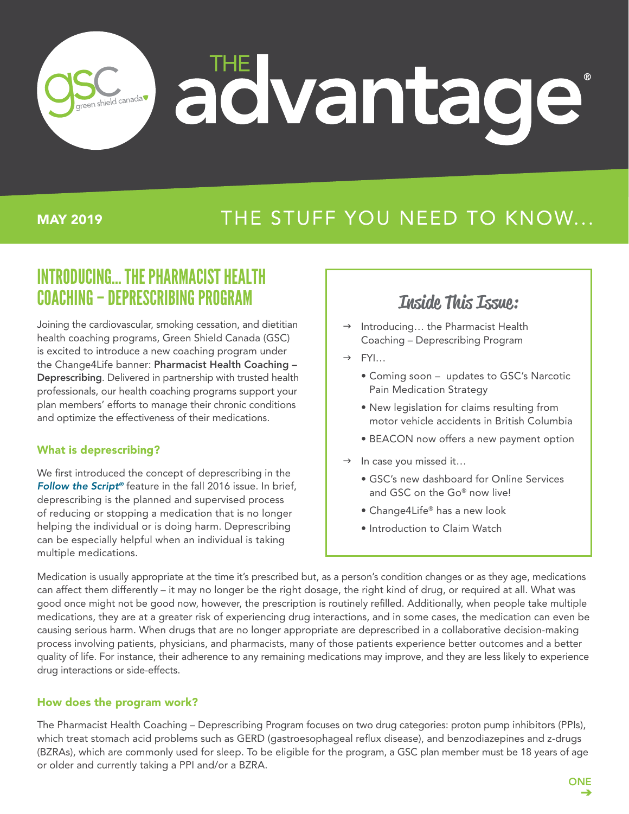# advantag reen shield canada

### MAY 2019

# THE STUFF YOU NEED TO KNOW...

# INTRODUCING… THE PHARMACIST HEALTH COACHING – DEPRESCRIBING PROGRAM

Joining the cardiovascular, smoking cessation, and dietitian health coaching programs, Green Shield Canada (GSC) is excited to introduce a new coaching program under the Change4Life banner: Pharmacist Health Coaching – Deprescribing. Delivered in partnership with trusted health professionals, our health coaching programs support your plan members' efforts to manage their chronic conditions and optimize the effectiveness of their medications.

### What is deprescribing?

We first introduced the concept of deprescribing in the *[Follow the Script®](https://assets.greenshield.ca/greenshield/GSC%20Stories%20(BLOG)/Follow%20the%20Script/2016/english/Follow%20the%20Script_Fall%202016.pdf)* feature in the fall 2016 issue. In brief, deprescribing is the planned and supervised process of reducing or stopping a medication that is no longer helping the individual or is doing harm. Deprescribing can be especially helpful when an individual is taking multiple medications.

### Inside This Issue:

- Introducing... the Pharmacist Health Coaching – Deprescribing Program
- $\rightarrow$  FYI...
	- Coming soon updates to GSC's Narcotic Pain Medication Strategy
	- New legislation for claims resulting from motor vehicle accidents in British Columbia
	- BEACON now offers a new payment option
- $\rightarrow$  In case you missed it...
	- GSC's new dashboard for Online Services and GSC on the Go® now live!
	- Change4Life® has a new look
	- Introduction to Claim Watch

Medication is usually appropriate at the time it's prescribed but, as a person's condition changes or as they age, medications can affect them differently – it may no longer be the right dosage, the right kind of drug, or required at all. What was good once might not be good now, however, the prescription is routinely refilled. Additionally, when people take multiple medications, they are at a greater risk of experiencing drug interactions, and in some cases, the medication can even be causing serious harm. When drugs that are no longer appropriate are deprescribed in a collaborative decision-making process involving patients, physicians, and pharmacists, many of those patients experience better outcomes and a better quality of life. For instance, their adherence to any remaining medications may improve, and they are less likely to experience drug interactions or side-effects.

### How does the program work?

The Pharmacist Health Coaching – Deprescribing Program focuses on two drug categories: proton pump inhibitors (PPIs), which treat stomach acid problems such as GERD (gastroesophageal reflux disease), and benzodiazepines and z-drugs (BZRAs), which are commonly used for sleep. To be eligible for the program, a GSC plan member must be 18 years of age or older and currently taking a PPI and/or a BZRA.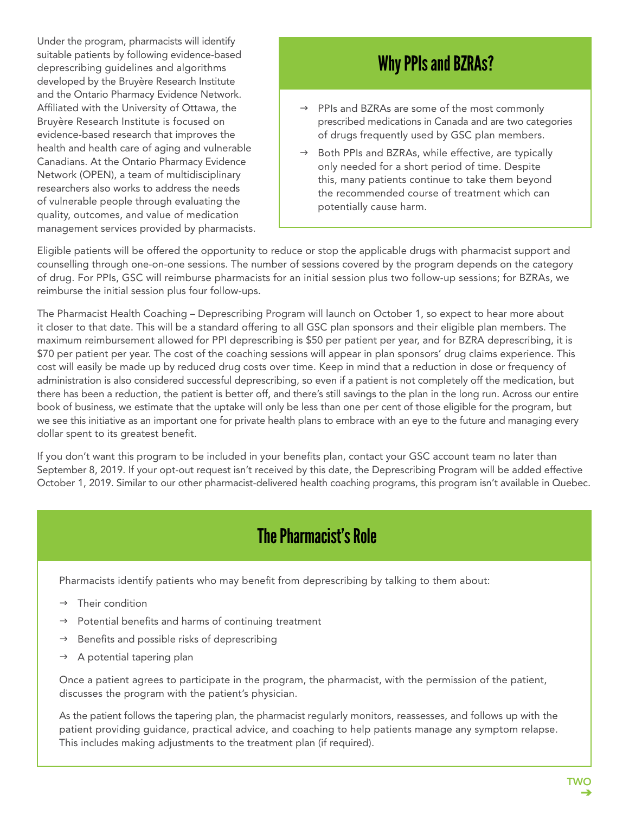Under the program, pharmacists will identify suitable patients by following evidence-based deprescribing guidelines and algorithms developed by the Bruyère Research Institute and the Ontario Pharmacy Evidence Network. Affiliated with the University of Ottawa, the Bruyère Research Institute is focused on evidence-based research that improves the health and health care of aging and vulnerable Canadians. At the Ontario Pharmacy Evidence Network (OPEN), a team of multidisciplinary researchers also works to address the needs of vulnerable people through evaluating the quality, outcomes, and value of medication management services provided by pharmacists.

# Why PPIs and BZRAs?

- $\rightarrow$  PPIs and BZRAs are some of the most commonly prescribed medications in Canada and are two categories of drugs frequently used by GSC plan members.
- $\rightarrow$  Both PPIs and BZRAs, while effective, are typically only needed for a short period of time. Despite this, many patients continue to take them beyond the recommended course of treatment which can potentially cause harm.

Eligible patients will be offered the opportunity to reduce or stop the applicable drugs with pharmacist support and counselling through one-on-one sessions. The number of sessions covered by the program depends on the category of drug. For PPIs, GSC will reimburse pharmacists for an initial session plus two follow-up sessions; for BZRAs, we reimburse the initial session plus four follow-ups.

The Pharmacist Health Coaching – Deprescribing Program will launch on October 1, so expect to hear more about it closer to that date. This will be a standard offering to all GSC plan sponsors and their eligible plan members. The maximum reimbursement allowed for PPI deprescribing is \$50 per patient per year, and for BZRA deprescribing, it is \$70 per patient per year. The cost of the coaching sessions will appear in plan sponsors' drug claims experience. This cost will easily be made up by reduced drug costs over time. Keep in mind that a reduction in dose or frequency of administration is also considered successful deprescribing, so even if a patient is not completely off the medication, but there has been a reduction, the patient is better off, and there's still savings to the plan in the long run. Across our entire book of business, we estimate that the uptake will only be less than one per cent of those eligible for the program, but we see this initiative as an important one for private health plans to embrace with an eye to the future and managing every dollar spent to its greatest benefit.

If you don't want this program to be included in your benefits plan, contact your GSC account team no later than September 8, 2019. If your opt-out request isn't received by this date, the Deprescribing Program will be added effective October 1, 2019. Similar to our other pharmacist-delivered health coaching programs, this program isn't available in Quebec.

# The Pharmacist's Role

Pharmacists identify patients who may benefit from deprescribing by talking to them about:

- $\rightarrow$  Their condition
- $\rightarrow$  Potential benefits and harms of continuing treatment
- $\rightarrow$  Benefits and possible risks of deprescribing
- $\rightarrow$  A potential tapering plan

Once a patient agrees to participate in the program, the pharmacist, with the permission of the patient, discusses the program with the patient's physician.

As the patient follows the tapering plan, the pharmacist regularly monitors, reassesses, and follows up with the patient providing guidance, practical advice, and coaching to help patients manage any symptom relapse. This includes making adjustments to the treatment plan (if required).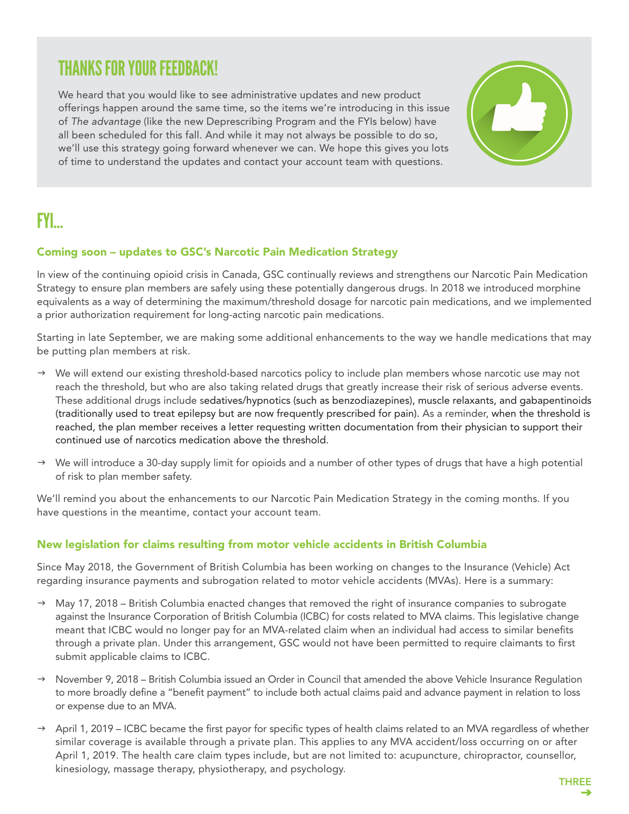### THANKS FOR YOUR FEEDBACK!

We heard that you would like to see administrative updates and new product offerings happen around the same time, so the items we're introducing in this issue of *The advantage* (like the new Deprescribing Program and the FYIs below) have all been scheduled for this fall. And while it may not always be possible to do so, we'll use this strategy going forward whenever we can. We hope this gives you lots of time to understand the updates and contact your account team with questions.

# FYI…

### Coming soon – updates to GSC's Narcotic Pain Medication Strategy

In view of the continuing opioid crisis in Canada, GSC continually reviews and strengthens our Narcotic Pain Medication Strategy to ensure plan members are safely using these potentially dangerous drugs. In 2018 we introduced morphine equivalents as a way of determining the maximum/threshold dosage for narcotic pain medications, and we implemented a prior authorization requirement for long-acting narcotic pain medications.

Starting in late September, we are making some additional enhancements to the way we handle medications that may be putting plan members at risk.

- $\rightarrow$  We will extend our existing threshold-based narcotics policy to include plan members whose narcotic use may not reach the threshold, but who are also taking related drugs that greatly increase their risk of serious adverse events. These additional drugs include sedatives/hypnotics (such as benzodiazepines), muscle relaxants, and gabapentinoids (traditionally used to treat epilepsy but are now frequently prescribed for pain). As a reminder, when the threshold is reached, the plan member receives a letter requesting written documentation from their physician to support their continued use of narcotics medication above the threshold.
- $\rightarrow$  We will introduce a 30-day supply limit for opioids and a number of other types of drugs that have a high potential of risk to plan member safety.

We'll remind you about the enhancements to our Narcotic Pain Medication Strategy in the coming months. If you have questions in the meantime, contact your account team.

### New legislation for claims resulting from motor vehicle accidents in British Columbia

Since May 2018, the Government of British Columbia has been working on changes to the Insurance (Vehicle) Act regarding insurance payments and subrogation related to motor vehicle accidents (MVAs). Here is a summary:

- $\rightarrow$  May 17, 2018 British Columbia enacted changes that removed the right of insurance companies to subrogate against the Insurance Corporation of British Columbia (ICBC) for costs related to MVA claims. This legislative change meant that ICBC would no longer pay for an MVA-related claim when an individual had access to similar benefits through a private plan. Under this arrangement, GSC would not have been permitted to require claimants to first submit applicable claims to ICBC.
- $\rightarrow$  November 9, 2018 British Columbia issued an Order in Council that amended the above Vehicle Insurance Regulation to more broadly define a "benefit payment" to include both actual claims paid and advance payment in relation to loss or expense due to an MVA.
- $\rightarrow$  April 1, 2019 ICBC became the first payor for specific types of health claims related to an MVA regardless of whether similar coverage is available through a private plan. This applies to any MVA accident/loss occurring on or after April 1, 2019. The health care claim types include, but are not limited to: acupuncture, chiropractor, counsellor, kinesiology, massage therapy, physiotherapy, and psychology.

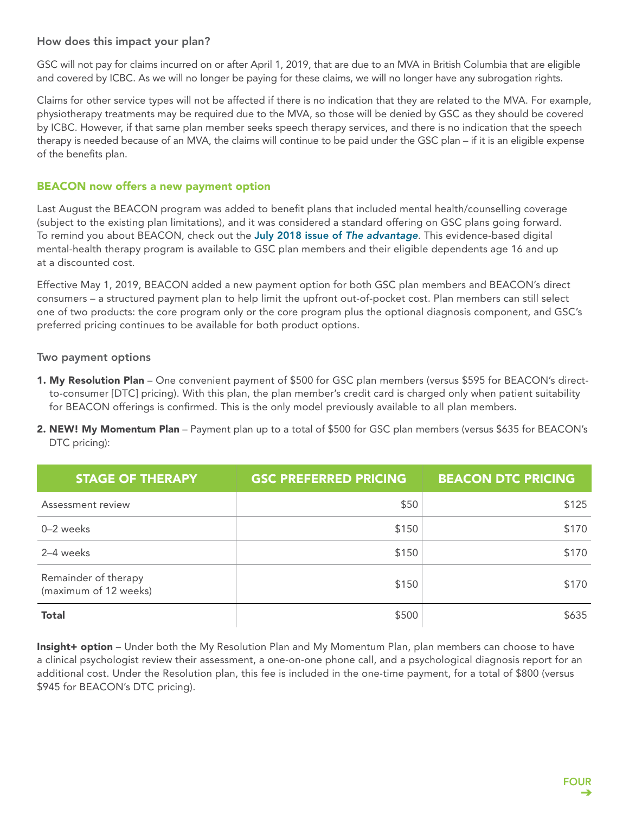### How does this impact your plan?

GSC will not pay for claims incurred on or after April 1, 2019, that are due to an MVA in British Columbia that are eligible and covered by ICBC. As we will no longer be paying for these claims, we will no longer have any subrogation rights.

Claims for other service types will not be affected if there is no indication that they are related to the MVA. For example, physiotherapy treatments may be required due to the MVA, so those will be denied by GSC as they should be covered by ICBC. However, if that same plan member seeks speech therapy services, and there is no indication that the speech therapy is needed because of an MVA, the claims will continue to be paid under the GSC plan – if it is an eligible expense of the benefits plan.

#### BEACON now offers a new payment option

Last August the BEACON program was added to benefit plans that included mental health/counselling coverage (subject to the existing plan limitations), and it was considered a standard offering on GSC plans going forward. To remind you about BEACON, check out the [July 2018 issue of](https://assets.greenshield.ca/greenshield/GSC%20Stories%20(BLOG)/the%20Advantage/2018/english/The%20advantage_July%202018_EN.PDF) *The advantage*. This evidence-based digital mental-health therapy program is available to GSC plan members and their eligible dependents age 16 and up at a discounted cost.

Effective May 1, 2019, BEACON added a new payment option for both GSC plan members and BEACON's direct consumers – a structured payment plan to help limit the upfront out-of-pocket cost. Plan members can still select one of two products: the core program only or the core program plus the optional diagnosis component, and GSC's preferred pricing continues to be available for both product options.

#### Two payment options

- 1. My Resolution Plan One convenient payment of \$500 for GSC plan members (versus \$595 for BEACON's directto-consumer [DTC] pricing). With this plan, the plan member's credit card is charged only when patient suitability for BEACON offerings is confirmed. This is the only model previously available to all plan members.
- 2. NEW! My Momentum Plan Payment plan up to a total of \$500 for GSC plan members (versus \$635 for BEACON's DTC pricing):

| <b>STAGE OF THERAPY</b>                       | <b>GSC PREFERRED PRICING</b> | <b>BEACON DTC PRICING</b> |
|-----------------------------------------------|------------------------------|---------------------------|
| Assessment review                             | \$50                         | \$125                     |
| 0-2 weeks                                     | \$150                        | \$170                     |
| 2-4 weeks                                     | \$150                        | \$170                     |
| Remainder of therapy<br>(maximum of 12 weeks) | \$150                        | \$170                     |
| <b>Total</b>                                  | \$500                        | \$635                     |

Insight+ option – Under both the My Resolution Plan and My Momentum Plan, plan members can choose to have a clinical psychologist review their assessment, a one-on-one phone call, and a psychological diagnosis report for an additional cost. Under the Resolution plan, this fee is included in the one-time payment, for a total of \$800 (versus \$945 for BEACON's DTC pricing).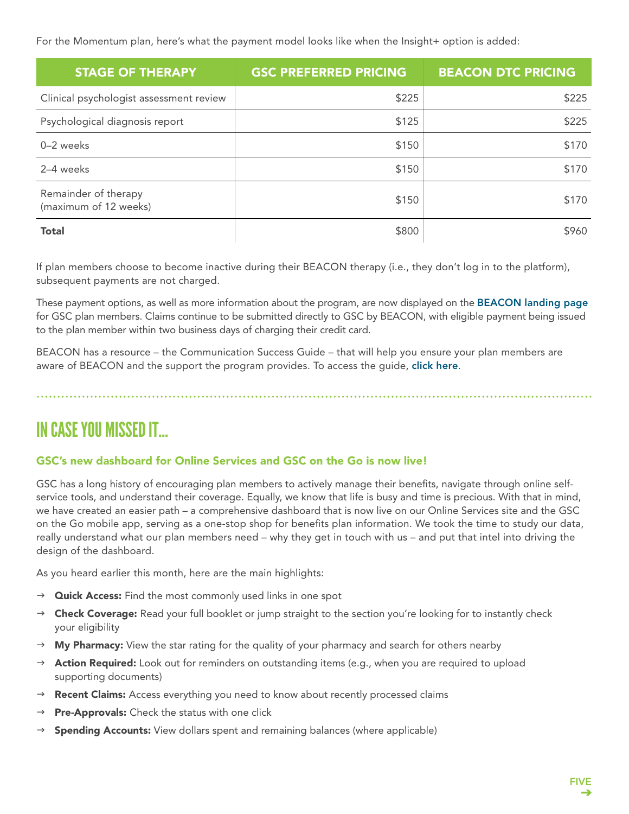For the Momentum plan, here's what the payment model looks like when the Insight+ option is added:

| <b>STAGE OF THERAPY</b>                       | <b>GSC PREFERRED PRICING</b> | <b>BEACON DTC PRICING</b> |
|-----------------------------------------------|------------------------------|---------------------------|
| Clinical psychologist assessment review       | \$225                        | \$225                     |
| Psychological diagnosis report                | \$125                        | \$225                     |
| 0-2 weeks                                     | \$150                        | \$170                     |
| 2-4 weeks                                     | \$150                        | \$170                     |
| Remainder of therapy<br>(maximum of 12 weeks) | \$150                        | \$170                     |
| <b>Total</b>                                  | \$800                        | \$960                     |

If plan members choose to become inactive during their BEACON therapy (i.e., they don't log in to the platform), subsequent payments are not charged.

These payment options, as well as more information about the program, are now displayed on the [BEACON landing page](https://info.mindbeacon.com/gsc-pmember) for GSC plan members. Claims continue to be submitted directly to GSC by BEACON, with eligible payment being issued to the plan member within two business days of charging their credit card.

BEACON has a resource – the Communication Success Guide – that will help you ensure your plan members are aware of BEACON and the support the program provides. To access the quide, [click here](https://info.mindbeacon.com/gsc-psponsor).

IN CASE YOU MISSED IT…

### GSC's new dashboard for Online Services and GSC on the Go is now live!

GSC has a long history of encouraging plan members to actively manage their benefits, navigate through online selfservice tools, and understand their coverage. Equally, we know that life is busy and time is precious. With that in mind, we have created an easier path – a comprehensive dashboard that is now live on our Online Services site and the GSC on the Go mobile app, serving as a one-stop shop for benefits plan information. We took the time to study our data, really understand what our plan members need – why they get in touch with us – and put that intel into driving the design of the dashboard.

As you heard earlier this month, here are the main highlights:

- $\rightarrow$  **Quick Access:** Find the most commonly used links in one spot
- $\rightarrow$  Check Coverage: Read your full booklet or jump straight to the section you're looking for to instantly check your eligibility
- $\rightarrow$  My Pharmacy: View the star rating for the quality of your pharmacy and search for others nearby
- $\rightarrow$  **Action Required:** Look out for reminders on outstanding items (e.g., when you are required to upload supporting documents)
- $\rightarrow$  **Recent Claims:** Access everything you need to know about recently processed claims
- $\rightarrow$  Pre-Approvals: Check the status with one click
- $\rightarrow$  **Spending Accounts:** View dollars spent and remaining balances (where applicable)